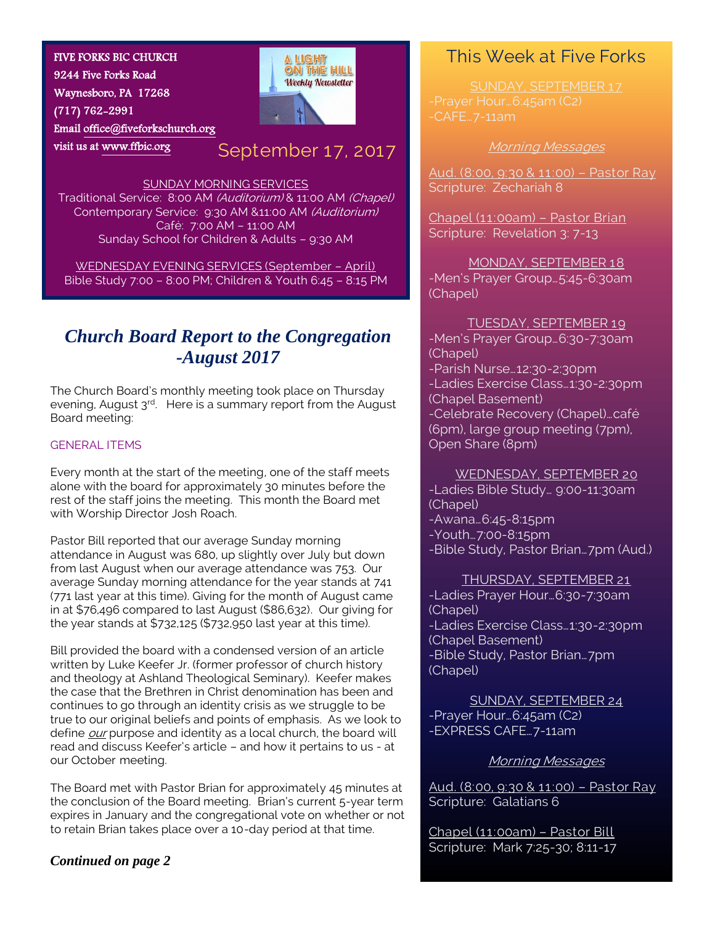#### FIVE FORKS BIC CHURCH

9244 Five Forks Road

Waynesboro, PA 17268

(717) 762-2991

Emai[l office@fiveforkschurch.org](mailto:office@fiveforkschurch.org) 

visit us at [www.ffbic.org](http://www.ffbic.org/) 

# **A LIGHT** ON THE HILL **Weekly Newsletter**

## September 17, 2017

SUNDAY MORNING SERVICES

Traditional Service: 8:00 AM (Auditorium) & 11:00 AM (Chapel) Contemporary Service: 9:30 AM &11:00 AM (Auditorium) Café: 7:00 AM – 11:00 AM Sunday School for Children & Adults – 9:30 AM

WEDNESDAY EVENING SERVICES (September – April) Bible Study 7:00 – 8:00 PM; Children & Youth 6:45 – 8:15 PM

# *Church Board Report to the Congregation -August 2017*

The Church Board's monthly meeting took place on Thursday evening, August 3<sup>rd</sup>. Here is a summary report from the August Board meeting:

### GENERAL ITEMS

Every month at the start of the meeting, one of the staff meets alone with the board for approximately 30 minutes before the rest of the staff joins the meeting. This month the Board met with Worship Director Josh Roach.

 Pastor Bill reported that our average Sunday morning attendance in August was 680, up slightly over July but down from last August when our average attendance was 753. Our average Sunday morning attendance for the year stands at 741 (771 last year at this time). Giving for the month of August came in at \$76,496 compared to last August (\$86,632). Our giving for the year stands at \$732,125 (\$732,950 last year at this time).

Bill provided the board with a condensed version of an article written by Luke Keefer Jr. (former professor of church history and theology at Ashland Theological Seminary). Keefer makes the case that the Brethren in Christ denomination has been and continues to go through an identity crisis as we struggle to be true to our original beliefs and points of emphasis. As we look to define *our* purpose and identity as a local church, the board will read and discuss Keefer's article – and how it pertains to us - at our October meeting.

The Board met with Pastor Brian for approximately 45 minutes at the conclusion of the Board meeting. Brian's current 5-year term expires in January and the congregational vote on whether or not to retain Brian takes place over a 10-day period at that time.

## *Continued on page 2*

# This Week at Five Forks

SUNDAY, SEPTEMBER 17 -CAFE…7-11am

### Morning Messages

Aud. (8:00, 9:30 & 11:00) – Pastor Ray Scripture: Zechariah 8

Chapel (11:00am) – Pastor Brian Scripture: Revelation 3: 7-13

### MONDAY, SEPTEMBER 18 -Men's Prayer Group…5:45-6:30am (Chapel)

## TUESDAY, SEPTEMBER 19

-Men's Prayer Group…6:30-7:30am (Chapel) -Parish Nurse…12:30-2:30pm -Ladies Exercise Class…1:30-2:30pm (Chapel Basement) -Celebrate Recovery (Chapel)…café (6pm), large group meeting (7pm), Open Share (8pm)

### WEDNESDAY, SEPTEMBER 20

-Ladies Bible Study… 9:00-11:30am (Chapel) -Awana…6:45-8:15pm -Youth…7:00-8:15pm -Bible Study, Pastor Brian…7pm (Aud.)

#### THURSDAY, SEPTEMBER 21

-Ladies Prayer Hour…6:30-7:30am (Chapel) -Ladies Exercise Class…1:30-2:30pm (Chapel Basement) -Bible Study, Pastor Brian…7pm (Chapel)

SUNDAY, SEPTEMBER 24 -Prayer Hour…6:45am (C2) -EXPRESS CAFE…7-11am

### Morning Messages

Aud. (8:00, 9:30 & 11:00) – Pastor Ray Scripture: Galatians 6

Chapel (11:00am) – Pastor Bill Scripture: Mark 7:25-30; 8:11-17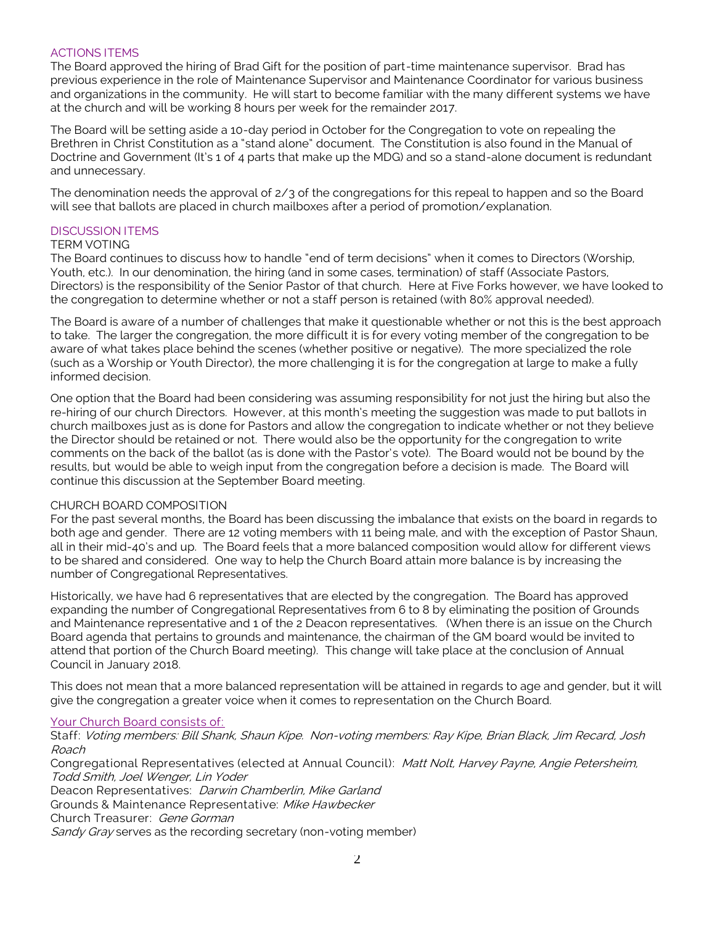#### ACTIONS ITEMS

The Board approved the hiring of Brad Gift for the position of part-time maintenance supervisor. Brad has previous experience in the role of Maintenance Supervisor and Maintenance Coordinator for various business and organizations in the community. He will start to become familiar with the many different systems we have at the church and will be working 8 hours per week for the remainder 2017.

The Board will be setting aside a 10-day period in October for the Congregation to vote on repealing the Brethren in Christ Constitution as a "stand alone" document. The Constitution is also found in the Manual of Doctrine and Government (It's 1 of 4 parts that make up the MDG) and so a stand-alone document is redundant and unnecessary.

The denomination needs the approval of 2/3 of the congregations for this repeal to happen and so the Board will see that ballots are placed in church mailboxes after a period of promotion/explanation.

#### DISCUSSION ITEMS

#### TERM VOTING

The Board continues to discuss how to handle "end of term decisions" when it comes to Directors (Worship, Youth, etc.). In our denomination, the hiring (and in some cases, termination) of staff (Associate Pastors, Directors) is the responsibility of the Senior Pastor of that church. Here at Five Forks however, we have looked to the congregation to determine whether or not a staff person is retained (with 80% approval needed).

The Board is aware of a number of challenges that make it questionable whether or not this is the best approach to take. The larger the congregation, the more difficult it is for every voting member of the congregation to be aware of what takes place behind the scenes (whether positive or negative). The more specialized the role (such as a Worship or Youth Director), the more challenging it is for the congregation at large to make a fully informed decision.

One option that the Board had been considering was assuming responsibility for not just the hiring but also the re-hiring of our church Directors. However, at this month's meeting the suggestion was made to put ballots in church mailboxes just as is done for Pastors and allow the congregation to indicate whether or not they believe the Director should be retained or not. There would also be the opportunity for the congregation to write comments on the back of the ballot (as is done with the Pastor's vote). The Board would not be bound by the results, but would be able to weigh input from the congregation before a decision is made. The Board will continue this discussion at the September Board meeting.

#### CHURCH BOARD COMPOSITION

For the past several months, the Board has been discussing the imbalance that exists on the board in regards to both age and gender. There are 12 voting members with 11 being male, and with the exception of Pastor Shaun, all in their mid-40's and up. The Board feels that a more balanced composition would allow for different views to be shared and considered. One way to help the Church Board attain more balance is by increasing the number of Congregational Representatives.

Historically, we have had 6 representatives that are elected by the congregation. The Board has approved expanding the number of Congregational Representatives from 6 to 8 by eliminating the position of Grounds and Maintenance representative and 1 of the 2 Deacon representatives. (When there is an issue on the Church Board agenda that pertains to grounds and maintenance, the chairman of the GM board would be invited to attend that portion of the Church Board meeting). This change will take place at the conclusion of Annual Council in January 2018.

This does not mean that a more balanced representation will be attained in regards to age and gender, but it will give the congregation a greater voice when it comes to representation on the Church Board.

#### Your Church Board consists of:

Staff: Voting members: Bill Shank, Shaun Kipe. Non-voting members: Ray Kipe, Brian Black, Jim Recard, Josh Roach

Congregational Representatives (elected at Annual Council): Matt Nolt, Harvey Payne, Angie Petersheim, Todd Smith, Joel Wenger, Lin Yoder

Deacon Representatives: Darwin Chamberlin, Mike Garland

Grounds & Maintenance Representative: Mike Hawbecker

Church Treasurer: Gene Gorman

Sandy Gray serves as the recording secretary (non-voting member)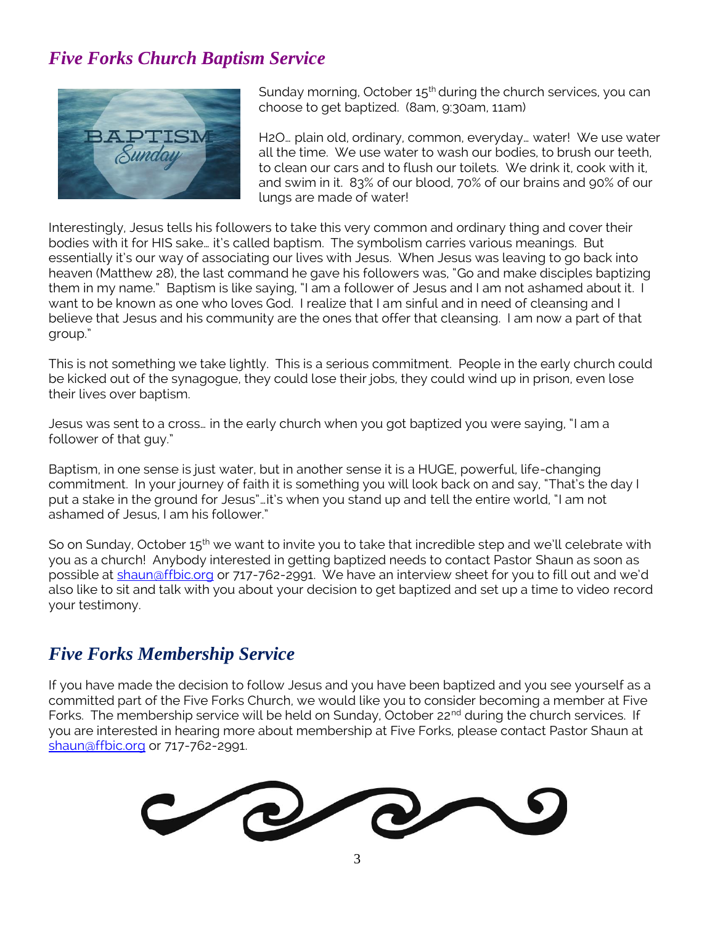# *Five Forks Church Baptism Service*



Sunday morning, October 15<sup>th</sup> during the church services, you can choose to get baptized. (8am, 9:30am, 11am)

H2O… plain old, ordinary, common, everyday… water! We use water all the time. We use water to wash our bodies, to brush our teeth, to clean our cars and to flush our toilets. We drink it, cook with it, and swim in it. 83% of our blood, 70% of our brains and 90% of our lungs are made of water!

Interestingly, Jesus tells his followers to take this very common and ordinary thing and cover their bodies with it for HIS sake… it's called baptism. The symbolism carries various meanings. But essentially it's our way of associating our lives with Jesus. When Jesus was leaving to go back into heaven (Matthew 28), the last command he gave his followers was, "Go and make disciples baptizing them in my name." Baptism is like saying, "I am a follower of Jesus and I am not ashamed about it. I want to be known as one who loves God. I realize that I am sinful and in need of cleansing and I believe that Jesus and his community are the ones that offer that cleansing. I am now a part of that group."

This is not something we take lightly. This is a serious commitment. People in the early church could be kicked out of the synagogue, they could lose their jobs, they could wind up in prison, even lose their lives over baptism.

Jesus was sent to a cross… in the early church when you got baptized you were saying, "I am a follower of that guy."

Baptism, in one sense is just water, but in another sense it is a HUGE, powerful, life-changing commitment. In your journey of faith it is something you will look back on and say, "That's the day I put a stake in the ground for Jesus"…it's when you stand up and tell the entire world, "I am not ashamed of Jesus, I am his follower."

So on Sunday, October 15<sup>th</sup> we want to invite you to take that incredible step and we'll celebrate with you as a church! Anybody interested in getting baptized needs to contact Pastor Shaun as soon as possible at [shaun@ffbic.org](mailto:shaun@ffbic.org) or 717-762-2991. We have an interview sheet for you to fill out and we'd also like to sit and talk with you about your decision to get baptized and set up a time to video record your testimony.

## *Five Forks Membership Service*

If you have made the decision to follow Jesus and you have been baptized and you see yourself as a committed part of the Five Forks Church, we would like you to consider becoming a member at Five Forks. The membership service will be held on Sunday, October 22<sup>nd</sup> during the church services. If you are interested in hearing more about membership at Five Forks, please contact Pastor Shaun at [shaun@ffbic.org](mailto:shaun@ffbic.org) or 717-762-2991.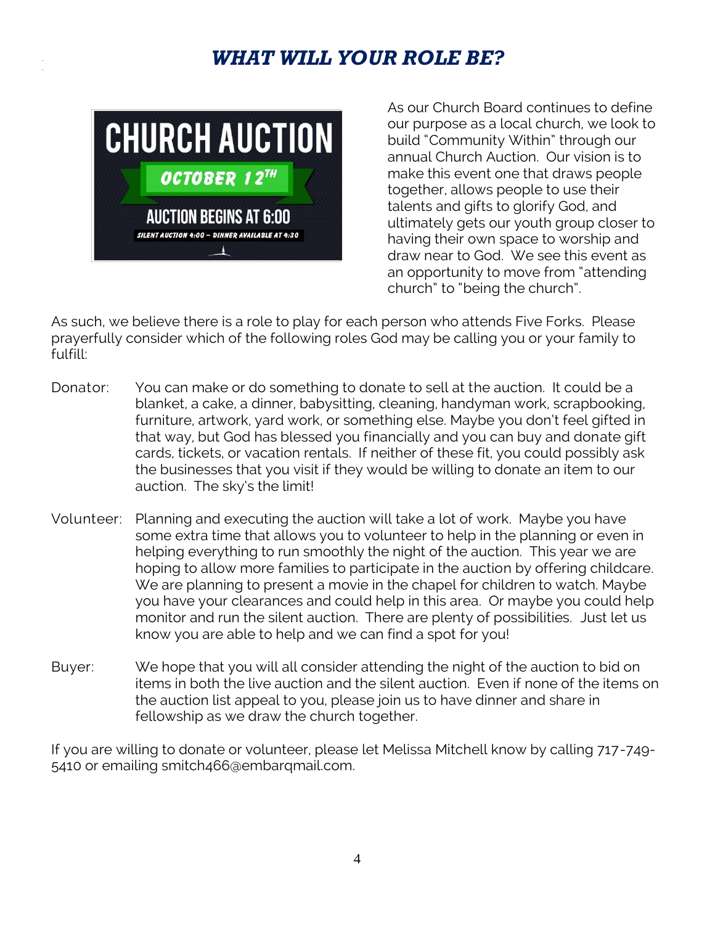# <sup>l</sup> *WHAT WILL YOUR ROLE BE?*



As our Church Board continues to define our purpose as a local church, we look to build "Community Within" through our annual Church Auction. Our vision is to make this event one that draws people together, allows people to use their talents and gifts to glorify God, and ultimately gets our youth group closer to having their own space to worship and draw near to God. We see this event as an opportunity to move from "attending church" to "being the church".

As such, we believe there is a role to play for each person who attends Five Forks. Please prayerfully consider which of the following roles God may be calling you or your family to fulfill:

- Donator: You can make or do something to donate to sell at the auction. It could be a blanket, a cake, a dinner, babysitting, cleaning, handyman work, scrapbooking, furniture, artwork, yard work, or something else. Maybe you don't feel gifted in that way, but God has blessed you financially and you can buy and donate gift cards, tickets, or vacation rentals. If neither of these fit, you could possibly ask the businesses that you visit if they would be willing to donate an item to our auction. The sky's the limit!
- Volunteer: Planning and executing the auction will take a lot of work. Maybe you have some extra time that allows you to volunteer to help in the planning or even in helping everything to run smoothly the night of the auction. This year we are hoping to allow more families to participate in the auction by offering childcare. We are planning to present a movie in the chapel for children to watch. Maybe you have your clearances and could help in this area. Or maybe you could help monitor and run the silent auction. There are plenty of possibilities. Just let us know you are able to help and we can find a spot for you!
- Buyer: We hope that you will all consider attending the night of the auction to bid on items in both the live auction and the silent auction. Even if none of the items on the auction list appeal to you, please join us to have dinner and share in fellowship as we draw the church together.

If you are willing to donate or volunteer, please let Melissa Mitchell know by calling 717-749- 5410 or emailing smitch466@embarqmail.com.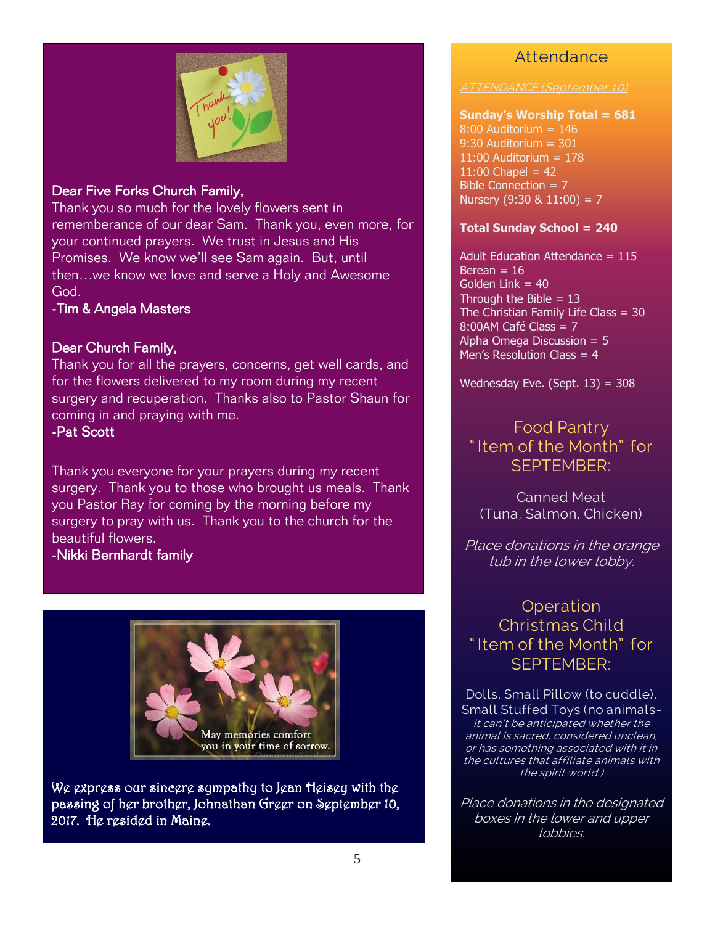

## Dear Five Forks Church Family,

Thank you so much for the lovely flowers sent in rememberance of our dear Sam. Thank you, even more, for your continued prayers. We trust in Jesus and His Promises. We know we'll see Sam again. But, until then…we know we love and serve a Holy and Awesome God.

## -Tim & Angela Masters

### Dear Church Family,

Thank you for all the prayers, concerns, get well cards, and for the flowers delivered to my room during my recent surgery and recuperation. Thanks also to Pastor Shaun for coming in and praying with me.

-Pat Scott

Thank you everyone for your prayers during my recent surgery. Thank you to those who brought us meals. Thank you Pastor Ray for coming by the morning before my surgery to pray with us. Thank you to the church for the beautiful flowers.

-Nikki Bernhardt family



We express our sincere sympathy to Jean Heisey with the passing of her brother, Johnathan Greer on September 10, 2017. He resided in Maine.

## Attendance

#### ATTENDANCE (September 10)

#### **Sunday's Worship Total = 681**

8:00 Auditorium = 146 9:30 Auditorium =  $301$ 11:00 Auditorium  $= 178$  $11:00$  Chapel = 42 Bible Connection = 7 Nursery  $(9:30 \& 11:00) = 7$ 

#### **Total Sunday School = 240**

Adult Education Attendance  $= 115$ Berean  $= 16$ Golden Link  $= 40$ Through the Bible  $= 13$ The Christian Family Life Class  $= 30$ 8:00AM Café Class = 7 Alpha Omega Discussion  $= 5$ Men's Resolution Class  $= 4$ 

Wednesday Eve. (Sept.  $13$ ) = 308

## Food Pantry " Item of the Month" for SEPTEMBER:

Canned Meat (Tuna, Salmon, Chicken)

Place donations in the orange tub in the lower lobby.

**Operation** Christmas Child " Item of the Month" for SEPTEMBER:

Dolls, Small Pillow (to cuddle), Small Stuffed Toys (no animalsit can't be anticipated whether the animal is sacred, considered unclean, or has something associated with it in the cultures that affiliate animals with the spirit world.)

Place donations in the designated boxes in the lower and upper lobbies.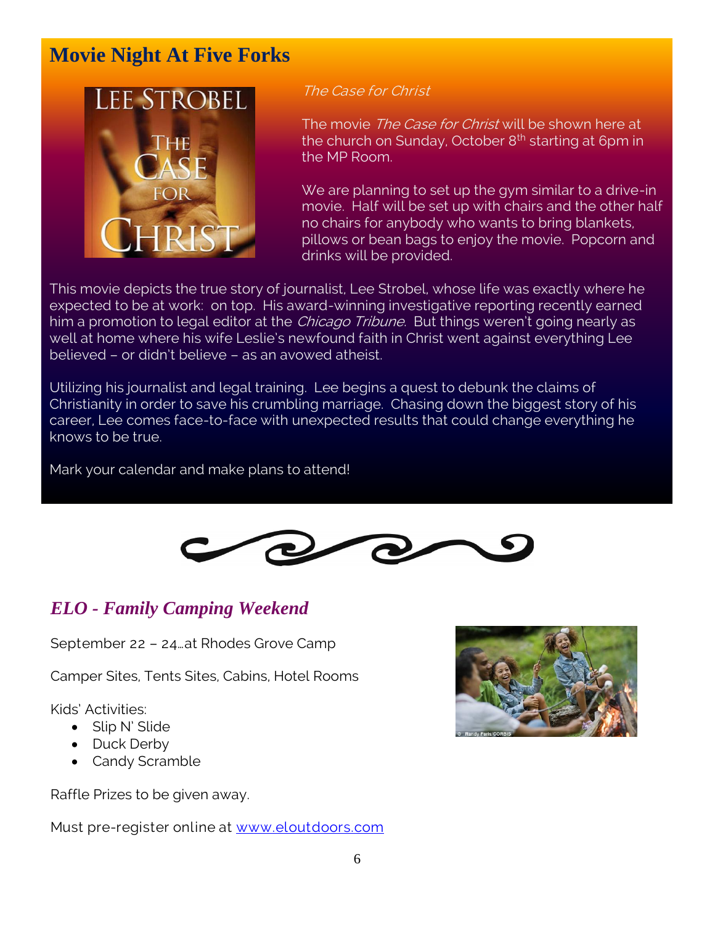# **Movie Night At Five Forks**



## The Case for Christ

The movie *The Case for Christ* will be shown here at the church on Sunday, October 8<sup>th</sup> starting at 6pm in the MP Room.

We are planning to set up the gym similar to a drive-in movie. Half will be set up with chairs and the other half no chairs for anybody who wants to bring blankets, pillows or bean bags to enjoy the movie. Popcorn and drinks will be provided.

This movie depicts the true story of journalist, Lee Strobel, whose life was exactly where he expected to be at work: on top. His award-winning investigative reporting recently earned him a promotion to legal editor at the *Chicago Tribune*. But things weren't going nearly as well at home where his wife Leslie's newfound faith in Christ went against everything Lee believed – or didn't believe – as an avowed atheist.

Utilizing his journalist and legal training. Lee begins a quest to debunk the claims of Christianity in order to save his crumbling marriage. Chasing down the biggest story of his career, Lee comes face-to-face with unexpected results that could change everything he knows to be true.

Mark your calendar and make plans to attend!



## *ELO - Family Camping Weekend*

September 22 – 24…at Rhodes Grove Camp

Camper Sites, Tents Sites, Cabins, Hotel Rooms

Kids' Activities:

- Slip N' Slide
- Duck Derby
- Candy Scramble

Raffle Prizes to be given away.

Must pre-register online at [www.eloutdoors.com](http://www.eloutdoors.com/)

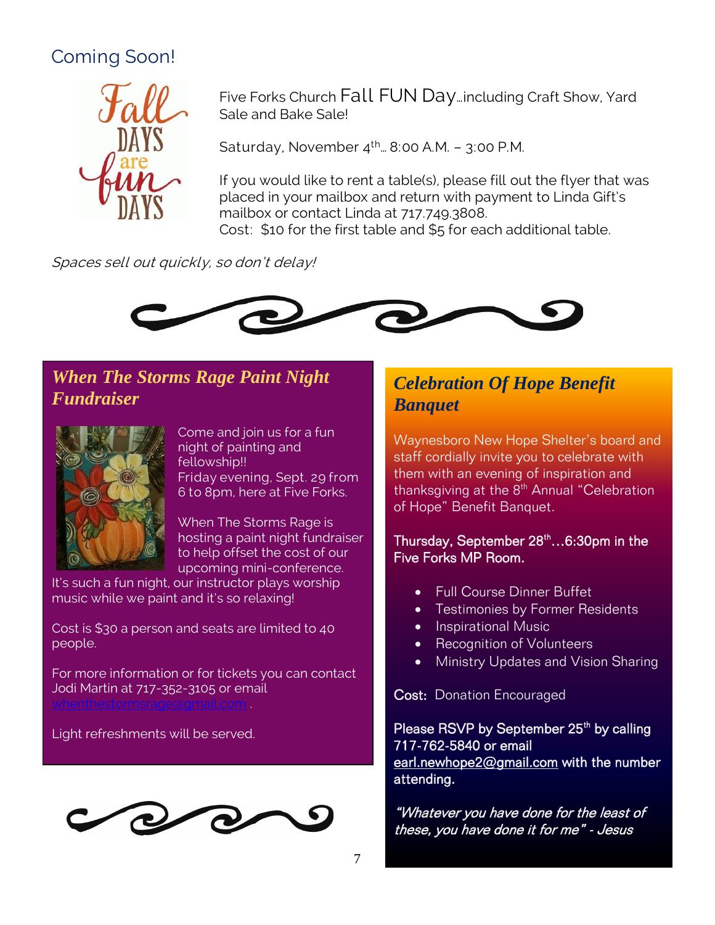# Coming Soon!



Five Forks Church Fall FUN Day…including Craft Show, Yard Sale and Bake Sale!

Saturday, November  $4^{th}$ . 8:00 A.M. – 3:00 P.M.

If you would like to rent a table(s), please fill out the flyer that was placed in your mailbox and return with payment to Linda Gift's mailbox or contact Linda at 717.749.3808.

Cost: \$10 for the first table and \$5 for each additional table.

Spaces sell out quickly, so don't delay!



# *When The Storms Rage Paint Night Fundraiser*



Come and join us for a fun night of painting and fellowship!! Friday evening, Sept. 29 from 6 to 8pm, here at Five Forks.

When The Storms Rage is hosting a paint night fundraiser to help offset the cost of our upcoming mini-conference.

It's such a fun night, our instructor plays worship music while we paint and it's so relaxing!

Cost is \$30 a person and seats are limited to 40 people.

For more information or for tickets you can contact Jodi Martin at 717-352-3105 or email

Light refreshments will be served.



# *Celebration Of Hope Benefit Banquet*

Waynesboro New Hope Shelter's board and staff cordially invite you to celebrate with them with an evening of inspiration and thanksgiving at the 8<sup>th</sup> Annual "Celebration of Hope" Benefit Banquet.

## Thursday, September 28<sup>th</sup>...6:30pm in the Five Forks MP Room.

- Full Course Dinner Buffet
- **•** Testimonies by Former Residents
- Inspirational Music
- Recognition of Volunteers
- Ministry Updates and Vision Sharing

Cost: Donation Encouraged

Please RSVP by September 25<sup>th</sup> by calling 717-762-5840 or email [earl.newhope2@gmail.com](mailto:earl.newhope2@gmail.com) with the number attending.

"Whatever you have done for the least of these, you have done it for me" - Jesus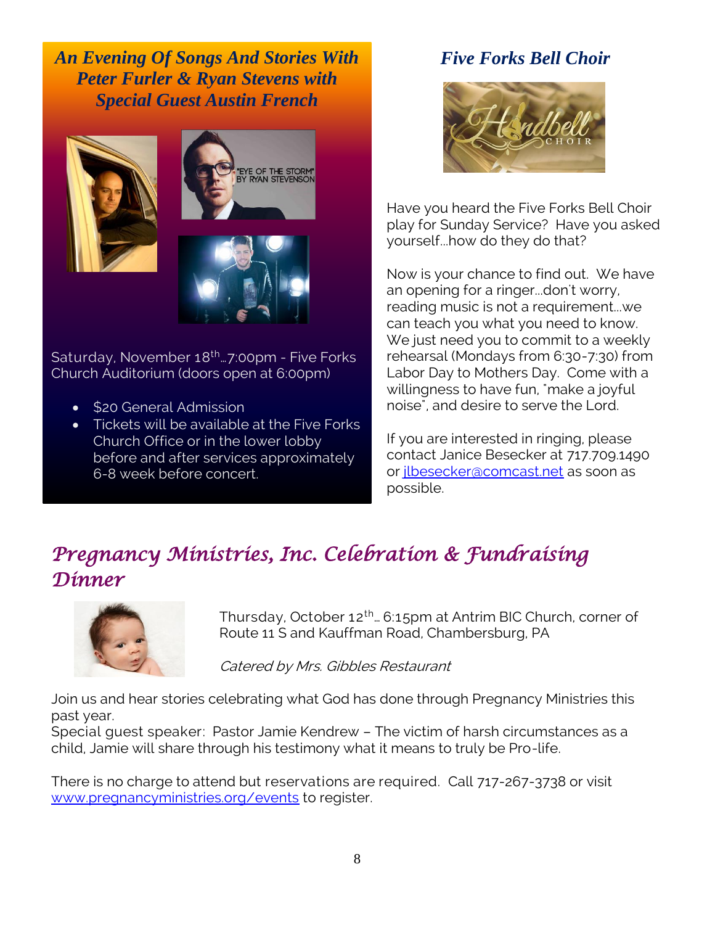*An Evening Of Songs And Stories With Peter Furler & Ryan Stevens with Special Guest Austin French*







Saturday, November 18<sup>th</sup>... 7:00pm - Five Forks Church Auditorium (doors open at 6:00pm)

- \$20 General Admission
- Tickets will be available at the Five Forks Church Office or in the lower lobby before and after services approximately 6-8 week before concert.

# *Five Forks Bell Choir*



Have you heard the Five Forks Bell Choir play for Sunday Service? Have you asked yourself...how do they do that?

Now is your chance to find out. We have an opening for a ringer...don't worry, reading music is not a requirement...we can teach you what you need to know. We just need you to commit to a weekly rehearsal (Mondays from 6:30-7:30) from Labor Day to Mothers Day. Come with a willingness to have fun, "make a joyful noise", and desire to serve the Lord.

If you are interested in ringing, please contact Janice Besecker at 717.709.1490 or [jlbesecker@comcast.net](mailto:jlbesecker@comcast.net) as soon as possible.

# *Pregnancy Ministries, Inc. Celebration & Fundraising Dinner*



Thursday, October 12<sup>th</sup>... 6:15pm at Antrim BIC Church, corner of Route 11 S and Kauffman Road, Chambersburg, PA

Catered by Mrs. Gibbles Restaurant

Join us and hear stories celebrating what God has done through Pregnancy Ministries this past year.

Special guest speaker: Pastor Jamie Kendrew – The victim of harsh circumstances as a child, Jamie will share through his testimony what it means to truly be Pro-life.

There is no charge to attend but reservations are required. Call 717-267-3738 or visit [www.pregnancyministries.org/events](http://www.pregnancyministries.org/events) to register.